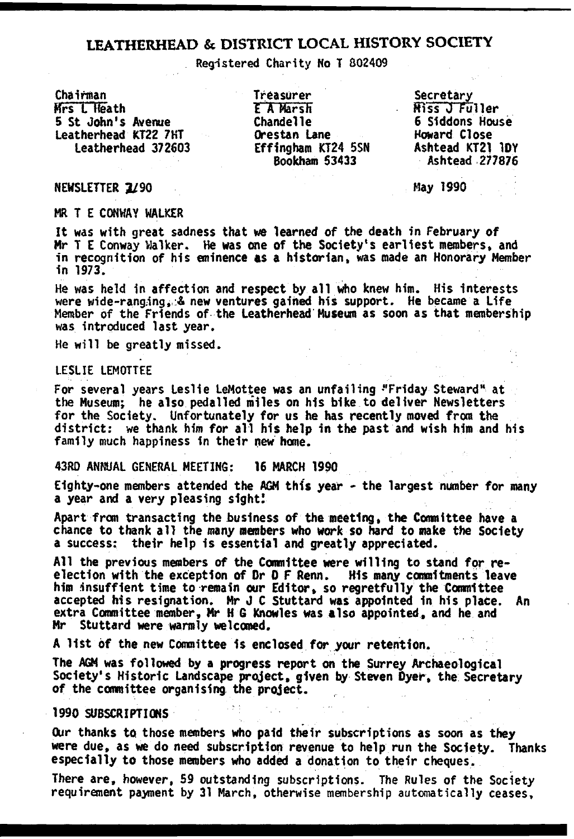## **LEATHERHEAD & DISTRICT LOCAL HISTORY SOCIETY**

Registered Charity No T 802409

Chairman

Mrs L Heath 5 St John's Avenue leatherhead KT22 7HT

Treasurer t A Marsh Chandelle Orestan Lane Effingham KT24 5SN Bookham 53433

6 Siddons House Howard Close Secretary<br>Miss J Fuller Ashtead KT21 1DY Ashtead 277876

NEWSLETTER 3/90 Hay 1990

MR T E CONWAY WALKER

It was with great sadness that we learned of the death in February of Mr T E Conway Walker. He was one of the Society's earliest members, and in recognition of his eminence as a historian, was made an Honorary Member in 1973.

He was held in affection and respect by all who knew him. His interests were wide-ranging. & new ventures gained his support. He became a Life Member of the Friends of the Leatherhead Museum as soon as that membership was introduced last year.

He will be greatly missed.

LESLIE LEM0TTEE

For several years Leslie LeMottee was an unfailing "Friday Steward" at the Museum; he also pedalled miles on his bike to deliver Newsletters for the Society. Unfortunately for us he has recently moved from the district: we thank him for all his help in the past and wish him and his family much happiness in their new home.

43RD ANNUAL GENERAL MEETING: 16 MARCH 1990

Eighty-one members attended the ACM this year - the largest number for many a year and a very pleasing sight!

Apart from transacting the business of the meeting, the Committee have a chance to thank all the many members who work so hard to make the Society a success: their help is essential and greatly appreciated.

All the previous members of the Committee were willing to stand for reelection with the exception of Or 0 F Renn. His many commitments leave him insuffient time to remain our Editor, so regretfully the Committee accepted his resignation. Mr J C Stuttard was appointed in his place. An extra Committee member, Mr H 6 Knowles was also appointed, and he and Mr Stuttard were warmly welcomed.

A list of the new Committee is enclosed for your retention.

The AGM was followed by a progress report on the Surrey Archaeological Society's Historic Landscape project, given by Steven Dyer, the Secretary of the committee organising the project.

1990 SUBSCRIPTIONS

Our thanks to those members who paid their subscriptions as soon as they were due, as we do need subscription revenue to help run the Society. Thanks especially to those members who added a donation to their cheques.

There are, however, 59 outstanding subscriptions. The Rules of the Society requirement payment by 31 March, otherwise membership automatically ceases.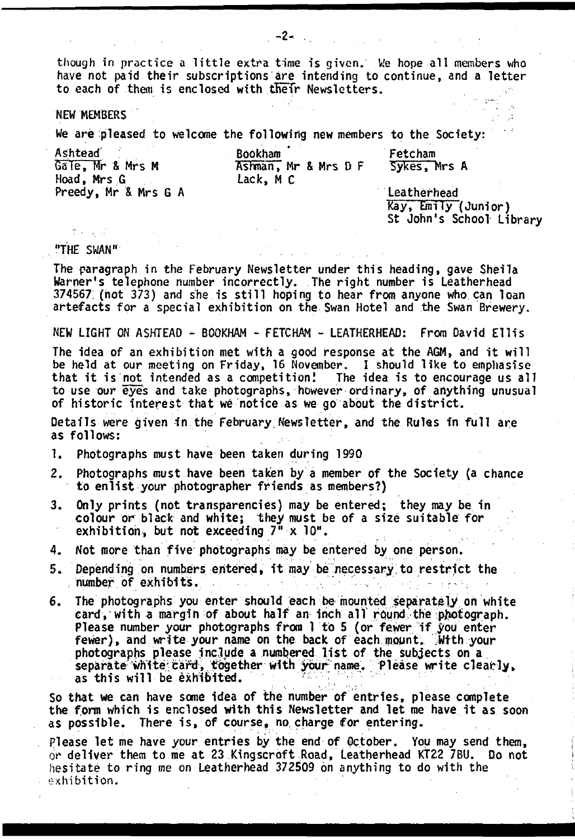though in practice a little extra time is given. We hope all members who have not paid their subscriptions are intending to continue, and a letter to each of them is enclosed with their Newsletters.

NEW MEMBERS

We are pleased to welcome the following new members to the Society:

Ashtead' Bookham<br>Gale, Mr & Mrs M \* \* \* \* Ashman, Hoad, Mrs .6 Lack, M C Preedy, Mr & Mrs G A

Ashman, Mr & Mrs D F

Fetcham Sykes, Mrs A

Leatherhead Kay, Emily (Junior) St John's School Library

"THE SWAN"

The paragraph in the February Newsletter under this heading, gave Sheila Warner's telephone number incorrectly. The right number is Leatherhead 374567 (not 373) and she is still hoping to hear from anyone who can loan artefacts for a special exhibition on the Swan Hotel and the Swan Brewery.

NEW LIGHT ON ASHTEAD - BOOKHAM - FETCHAM - LEATHERHEAD: From David Ellis

The idea of an exhibition met with a good response at the AGM, and it will be held at our meeting on Friday, 16 November. I should like to emphasise that it is not intended as a competition! The idea is to encourage us all to use our eyes and take photographs, however ordinary, of anything unusual of historic interest that we notice as we go about the district.

Details were given in the February Newsletter, and the Rules in full are as follows:

- 1. Photographs must have been taken during 1990
- 2. Photographs must have been taken by a member of the Society (a chance to enlist your photographer friends as members?)
- 3. Only prints (not transparencies) may be entered; they may be in colour or black and white; they must be of a size suitable for exhibition, but not exceeding 7" x 10".
- 4. Not more than five photographs may be entered by one person.
- 5. Depending on numbers entered, it may be necessary to restrict the number of exhibits.
- 6. The photographs you enter should each be mounted separately on white card, with a margin of about half an inch all round the photograph. Please number your photographs from 1 to 5 (or fewer if you enter fewer), and write your name on the back of each mount. Wtth your photographs please include a numbered list of the subjects on a separate white card, together with your name. Please write clearly, as this will be exhibited.

So that we can have some idea of the number of entries, please complete the form which is enclosed with this Newsletter and let me have it as soon as possible. There is, of course, no charge for entering.

Please let me have your entries by the end of October. You may send them, or deliver them to me at 23 Kingscroft Road, Leatherhead KT22 7BU. Do not hesitate to ring me on Leatherhead 372509 on anything to do with the exhibition.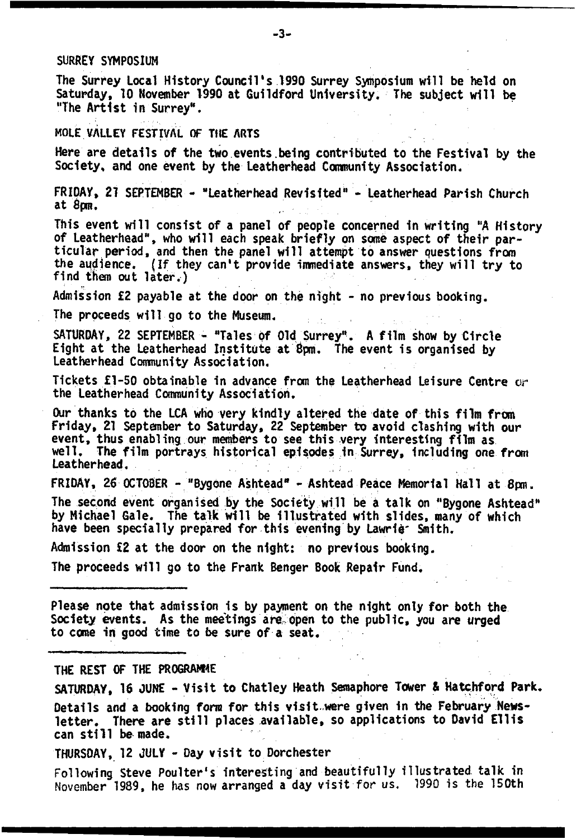#### SURREY SYMPOSIUM

The Surrey Local History Council's 1990 Surrey Symposium will be held on Saturday, 10 November 1990 at Guildford University. The subject will be "The Artist in Surrey".

MOLE VALLEY FESTIVAL OF THE ARTS

Here are details of the two events.being contributed to the Festival by the Society, and one event by the Leatherhead Community Association.

FRIDAY, 21 SEPTEMBER - "Leatherhead Revisited" - Leatherhead Parish Church at 8pm.

This event will consist of a panel of people concerned in writing "A History of Leatherhead", who will each speak briefly on some aspect of their particular period, and then the panel will attempt to answer questions from the audience. (If they can't provide immediate answers, they will try to find them out later.)

Admission £2 payable at the door on the night - no previous booking.

The proceeds will go to the Museum.

SATURDAY, 22 SEPTEMBER - "Tales of Old Surrey". A film show by Circle Eight at the Leatherhead Institute at 6pm. The event is organised by Leatherhead Community Association.

Tickets £1-50 obtainable in advance from the Leatherhead Leisure Centre or the Leatherhead Community Association.

Our thanks to the LCA who very kindly altered the date of this film from Friday, 21 September to Saturday, 22 September to avoid clashing with our event, thus enabling our members to see this very interesting film as well. The film portrays historical episodes in Surrey, Including one from Leatherhead.

FRIDAY, *26* OCTOBER - "Bygone Ashtead" - Ashtead Peace Memorial Hall at 8pm.

The second event organised by the Society will be a talk on "Bygone Ashtead" by Michael Gale. The talk will be illustrated with slides, many of which have been specially prepared for this evening by Lawrle' Smith.

Admission £2 at the door on the night: no previous booking.

The proceeds will go to the Frank Benger Book Repair Fund.

Please note that admission is by payment on the night only for both the Society events. As the meetings are, open to the public, you are urged to come in good time to be sure of a seat.

THE REST OF THE PROGRAMME

SATURDAY, 16 JUNE - Visit to Chatley Heath Semaphore Tower & Hatchford Park. Details and a booking form for this visit.were given in the February Newsletter. There are still places available, so applications to David Ellis can still be made.

THURSDAY, 12 JULY - Day visit to Dorchester

Following Steve Poulter's interesting and beautifully illustrated talk in November 1989, he has now arranged a day visit for us. 1990 is the 150th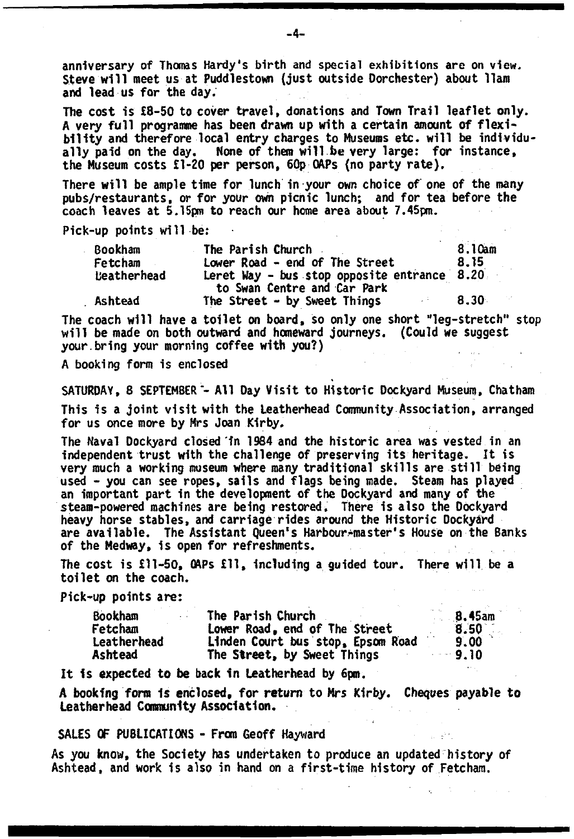anniversary of Thomas Hardy's birth and special exhibitions are on view. Steve will meet us at Puddlestown (just outside Dorchester) about 11am and lead us for the day.

The cost is £8-50 to cover travel, donations and Town Trail leaflet only. A very full programme has been drawn up with a certain amount of flexibility and therefore local entry charges to Museums etc. will be individually paid on the day. None of them will be very large: for instance, the Museum costs £1-20 per person, 60p QAPs (no party rate).

There will be ample time for lunch in your own choice of one of the many pubs/restaurants, or for your own picnic lunch; and for tea before the coach leaves at 5.15pm to reach our home area about 7.45pm.

Pick-up points will be:

| <b>Bookham</b> | The Parish Church                           | 8.10am |
|----------------|---------------------------------------------|--------|
| Fetcham        | Lower Road - end of The Street              | 8.15   |
| teatherhead    | Leret Way - bus stop opposite entrance 8.20 |        |
|                | to Swan Centre and Car Park                 |        |
| Ashtead        | The Street - by Sweet Things                | 8.30   |

The coach will have a toilet on board, so only one short "leg-stretch" stop will be made on both outward and homeward journeys. (Could we suggest your.bring your morning coffee with you?)

A booking form is enclosed

SATURDAY, 8 SEPTEMBER - All Day Visit to Historic Dockyard Museum, Chatham This is a joint visit with the Leatherhead Community Association, arranged for us once more by Mrs Joan Kirby,

The Naval Dockyard closed in 1984 and the historic area was vested in an independent trust with the challenge of preserving its heritage. It is very much a working museum where many traditional skills are still being used - you can see ropes, sails and flags being made. Steam has played an important part in the development of the Dockyard and many of the steam-powered machines are being restored. There is also the Dockyard heavy horse stables, and carriage rides around the Historic Dockyard are available. The Assistant Queen's Harbour-master's House on the Banks of the Medway, is open for refreshments.

The cost is £11-50, OAPs £11, including a guided tour. There will be a toilet on the coach.

Pick-up points are:

| <b>Bookham</b> | The Parish Church                 | 8.45am  |
|----------------|-----------------------------------|---------|
| Fetcham        | Lower Road, end of The Street     | 8.50    |
| Leatherhead    | Linden Court bus stop, Epsom Road | 9.00    |
| Ashtead        | The Street, by Sweet Things       | $-9.10$ |

It is expected to be back 1n Leatherhead by 6pm.

A booking form 1s enclosed, for return to Mrs Kirby. Cheques payable to Leatherhead Community Association.

#### SALES OF PUBLICATIONS - From Geoff Hayward

As you know, the Society has undertaken to produce an updated history of Ashtead, and work is also in hand on a first-time history of Fetcham.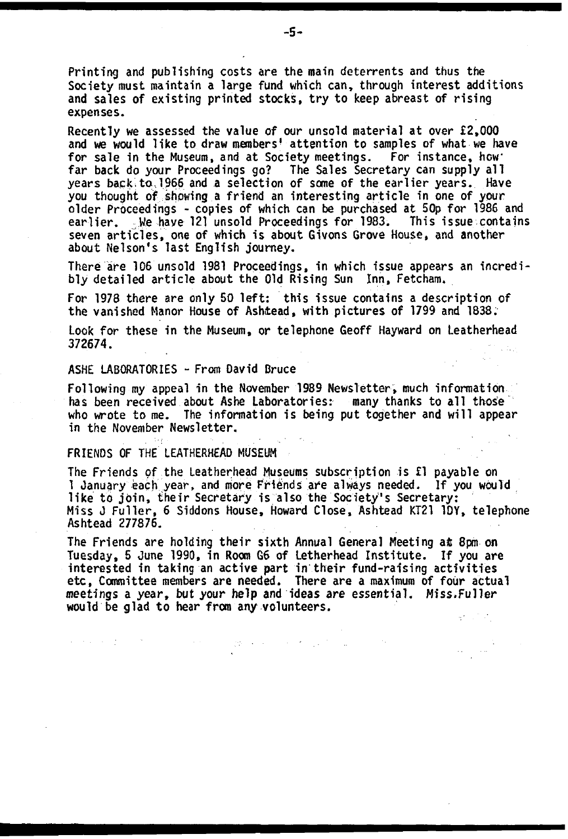Printing and publishing costs are the main deterrents and thus the Society must maintain a large fund which can, through interest additions and sales of existing printed stocks, try to keep abreast of rising expenses.

Recently we assessed the value of our unsold material at over £2,000 and we would like to draw members' attention to samples of what we have for sale in the Museum, and at Society meetings. For instance, howfar back do your Proceedings go? The Sales Secretary can supply all years back to 1966 and a selection of some of the earlier years. Have you thought of showing a friend an interesting article in one of your older Proceedings - copies of which can be purchased at 50p for 1986 and earlier. We have 121 unsold Proceedings for 1983. This issue contains seven articles, one of which is about Givons Grove House, and another about Nelson's last English journey.

There are 106 unsold 1981 Proceedings, in which issue appears an incredibly detailed article about the Old Rising Sun Inn, Fetcham.

For 1978 there are only 50 left: this issue contains a description of the vanished Manor House of Ashtead, with pictures of 1799 and 1838.

Look for these in the Museum, or telephone Geoff Hayward on Leatherhead 372674.

#### ASHE LABORATORIES - From David Bruce

Following my appeal in the November 1989 Newsletter, much information has been received about Ashe Laboratories: many thanks to all those who wrote to me. The information is being put together and will appear in the November Newsletter.

FRIENDS OF THE LEATHERHEAD MUSEUM

The Friends of the Leatherhead Museums subscription is £1 payable on 1 January each year, and more Friends are always needed. If you would like to join, their Secretary is also the Society's Secretary: Miss J Fuller, 6 Siddons House, Howard Close, Ashtead KT21 1DY, telephone Ashtead 277876.

The Friends are holding their sixth Annual General Meeting at 8pm on Tuesday, 5 June 1990, in Room G6 of Letherhead Institute. If you are interested in taking an active part in their fund-raising activities etc, Committee members are needed. There are a maximum of four actual meetings a year, but your help and ideas are essential. Miss.Fuller would be glad to hear from any volunteers.

The company of the company of the company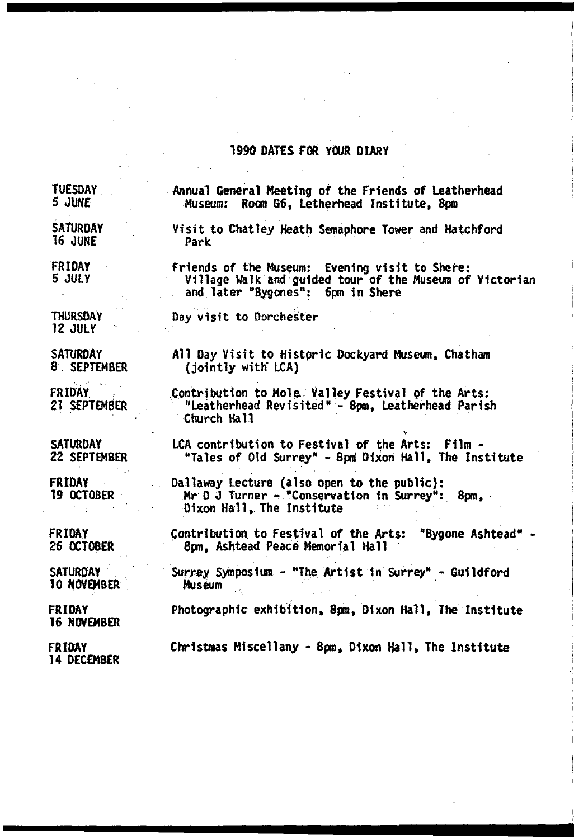### 1990 OATES FOR YOUR DIARY

**TUESDAY** 5 JUNE

Annual General Meeting of the Friends of Leatherhead Museum: Room G6, Letherhead Institute, 8pm

**SATURDAY** 16 JUNE

Visit to Chat ley Heath Semaphore Tower and Hatchford Park

FRIDAY 5 JULY Friends of the Museum: Evening visit to Shere: Village Walk and guided tour of the Museum of Victorian and later "Bygones": 6pm in Shere

THURSDAY 12 JULY

**SATURDAY** 8 SEPTEMBER

FRIDAY 21 SEPTEMBER All Day Visit to Historic Dockyard Museum, Chatham (jointly with' LCA)

Contribution to Mole. Valley Festival of the Arts: "Leatherhead Revisited" - 8pm, Leatherhead Parish Church Hall

LCA contribution to Festival of the Arts: Film -

Mr D J Turner - "Conservation 1n Surrey": 8pm,

"Tales of Old Surrey" - 8pri Dixon Hall, The Institute

**SATURDAY** 22 SEPTEMBER

FRIDAY 19 OCTOBER

FRIDAY 26 OCTOBER

**SATURDAY** 10 NOVEMBER

FRIDAY 16 NOVEMBER

Christmas Miscellany - 8pm, Dixon Hall, The Institute

Dixon Hall, The Institute

Day visit to Dorchester

FRIDAY 14 DECEMBER Contribution to Festival of the Arts: "Bygone Ashtead" 8pm, Ashtead Peace Memorial Hall

Dallaway Lecture (also open to the public):

Surrey Symposium - "The Artist in Surrey" - Guildford Museum

Photographic exhibition, 8pm, Dixon Hall, The Institute